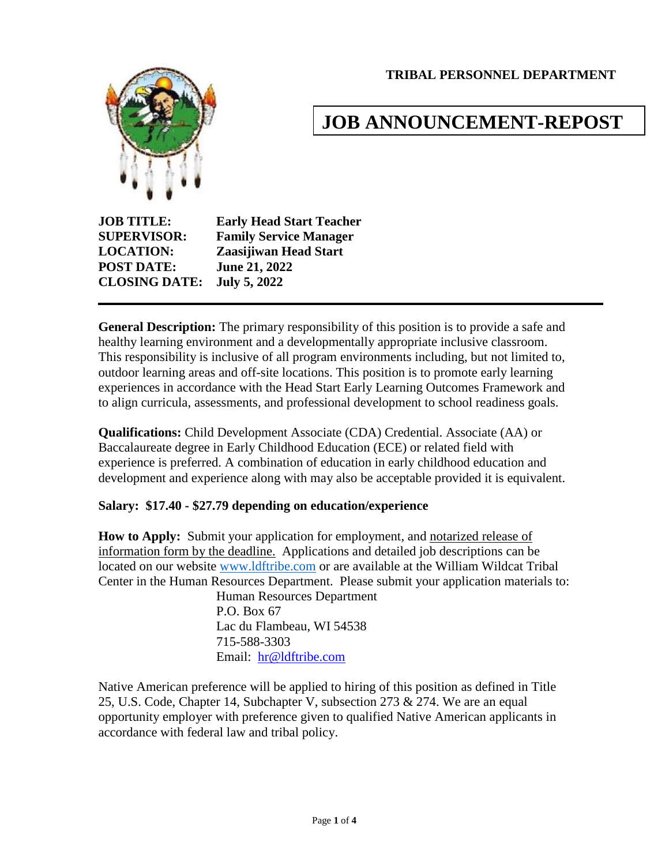**TRIBAL PERSONNEL DEPARTMENT**



# **JOB ANNOUNCEMENT-REPOST**

**JOB TITLE: Early Head Start Teacher SUPERVISOR: Family Service Manager LOCATION: Zaasijiwan Head Start POST DATE: June 21, 2022 CLOSING DATE: July 5, 2022**

**General Description:** The primary responsibility of this position is to provide a safe and healthy learning environment and a developmentally appropriate inclusive classroom. This responsibility is inclusive of all program environments including, but not limited to, outdoor learning areas and off-site locations. This position is to promote early learning experiences in accordance with the Head Start Early Learning Outcomes Framework and to align curricula, assessments, and professional development to school readiness goals.

**Qualifications:** Child Development Associate (CDA) Credential. Associate (AA) or Baccalaureate degree in Early Childhood Education (ECE) or related field with experience is preferred. A combination of education in early childhood education and development and experience along with may also be acceptable provided it is equivalent.

## **Salary: \$17.40 - \$27.79 depending on education/experience**

**How to Apply:** Submit your application for employment, and notarized release of information form by the deadline. Applications and detailed job descriptions can be located on our website [www.ldftribe.com](http://www.ldftribe.com/) or are available at the William Wildcat Tribal Center in the Human Resources Department. Please submit your application materials to:

> Human Resources Department P.O. Box 67 Lac du Flambeau, WI 54538 715-588-3303 Email: [hr@ldftribe.com](mailto:hr@ldftribe.com)

Native American preference will be applied to hiring of this position as defined in Title 25, U.S. Code, Chapter 14, Subchapter V, subsection 273 & 274. We are an equal opportunity employer with preference given to qualified Native American applicants in accordance with federal law and tribal policy.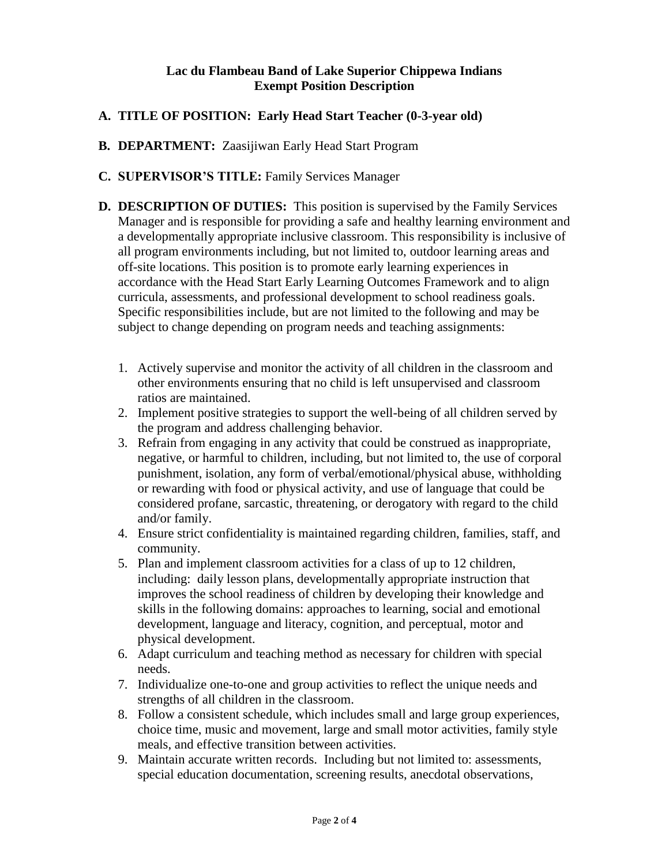#### **Lac du Flambeau Band of Lake Superior Chippewa Indians Exempt Position Description**

## **A. TITLE OF POSITION: Early Head Start Teacher (0-3-year old)**

**B. DEPARTMENT:** Zaasijiwan Early Head Start Program

#### **C. SUPERVISOR'S TITLE:** Family Services Manager

- **D. DESCRIPTION OF DUTIES:** This position is supervised by the Family Services Manager and is responsible for providing a safe and healthy learning environment and a developmentally appropriate inclusive classroom. This responsibility is inclusive of all program environments including, but not limited to, outdoor learning areas and off-site locations. This position is to promote early learning experiences in accordance with the Head Start Early Learning Outcomes Framework and to align curricula, assessments, and professional development to school readiness goals. Specific responsibilities include, but are not limited to the following and may be subject to change depending on program needs and teaching assignments:
	- 1. Actively supervise and monitor the activity of all children in the classroom and other environments ensuring that no child is left unsupervised and classroom ratios are maintained.
	- 2. Implement positive strategies to support the well-being of all children served by the program and address challenging behavior.
	- 3. Refrain from engaging in any activity that could be construed as inappropriate, negative, or harmful to children, including, but not limited to, the use of corporal punishment, isolation, any form of verbal/emotional/physical abuse, withholding or rewarding with food or physical activity, and use of language that could be considered profane, sarcastic, threatening, or derogatory with regard to the child and/or family.
	- 4. Ensure strict confidentiality is maintained regarding children, families, staff, and community.
	- 5. Plan and implement classroom activities for a class of up to 12 children, including: daily lesson plans, developmentally appropriate instruction that improves the school readiness of children by developing their knowledge and skills in the following domains: approaches to learning, social and emotional development, language and literacy, cognition, and perceptual, motor and physical development.
	- 6. Adapt curriculum and teaching method as necessary for children with special needs.
	- 7. Individualize one-to-one and group activities to reflect the unique needs and strengths of all children in the classroom.
	- 8. Follow a consistent schedule, which includes small and large group experiences, choice time, music and movement, large and small motor activities, family style meals, and effective transition between activities.
	- 9. Maintain accurate written records. Including but not limited to: assessments, special education documentation, screening results, anecdotal observations,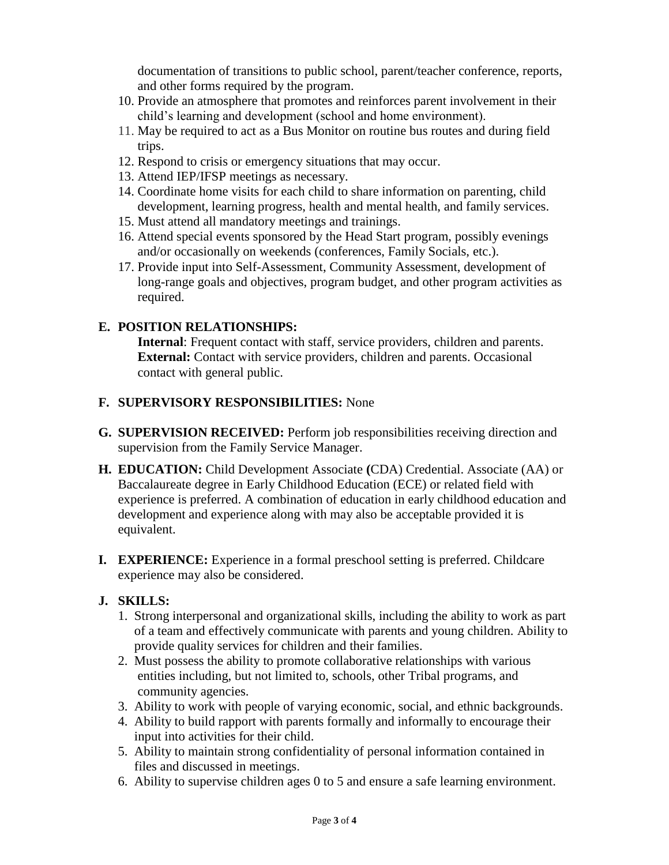documentation of transitions to public school, parent/teacher conference, reports, and other forms required by the program.

- 10. Provide an atmosphere that promotes and reinforces parent involvement in their child's learning and development (school and home environment).
- 11. May be required to act as a Bus Monitor on routine bus routes and during field trips.
- 12. Respond to crisis or emergency situations that may occur.
- 13. Attend IEP/IFSP meetings as necessary.
- 14. Coordinate home visits for each child to share information on parenting, child development, learning progress, health and mental health, and family services.
- 15. Must attend all mandatory meetings and trainings.
- 16. Attend special events sponsored by the Head Start program, possibly evenings and/or occasionally on weekends (conferences, Family Socials, etc.).
- 17. Provide input into Self-Assessment, Community Assessment, development of long-range goals and objectives, program budget, and other program activities as required.

## **E. POSITION RELATIONSHIPS:**

**Internal**: Frequent contact with staff, service providers, children and parents. **External:** Contact with service providers, children and parents. Occasional contact with general public.

## **F. SUPERVISORY RESPONSIBILITIES:** None

- **G. SUPERVISION RECEIVED:** Perform job responsibilities receiving direction and supervision from the Family Service Manager.
- **H. EDUCATION:** Child Development Associate **(**CDA) Credential. Associate (AA) or Baccalaureate degree in Early Childhood Education (ECE) or related field with experience is preferred. A combination of education in early childhood education and development and experience along with may also be acceptable provided it is equivalent.
- **I. EXPERIENCE:** Experience in a formal preschool setting is preferred. Childcare experience may also be considered.

## **J. SKILLS:**

- 1. Strong interpersonal and organizational skills, including the ability to work as part of a team and effectively communicate with parents and young children. Ability to provide quality services for children and their families.
- 2. Must possess the ability to promote collaborative relationships with various entities including, but not limited to, schools, other Tribal programs, and community agencies.
- 3. Ability to work with people of varying economic, social, and ethnic backgrounds.
- 4. Ability to build rapport with parents formally and informally to encourage their input into activities for their child.
- 5. Ability to maintain strong confidentiality of personal information contained in files and discussed in meetings.
- 6. Ability to supervise children ages 0 to 5 and ensure a safe learning environment.